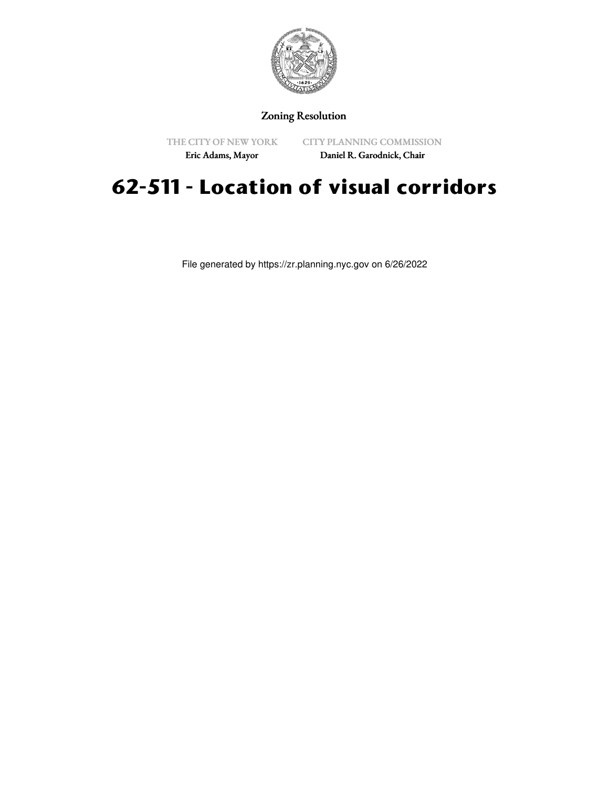

#### Zoning Resolution

THE CITY OF NEW YORK

CITY PLANNING COMMISSION Daniel R. Garodnick, Chair

Eric Adams, Mayor

# **62-511 - Location of visual corridors**

File generated by https://zr.planning.nyc.gov on 6/26/2022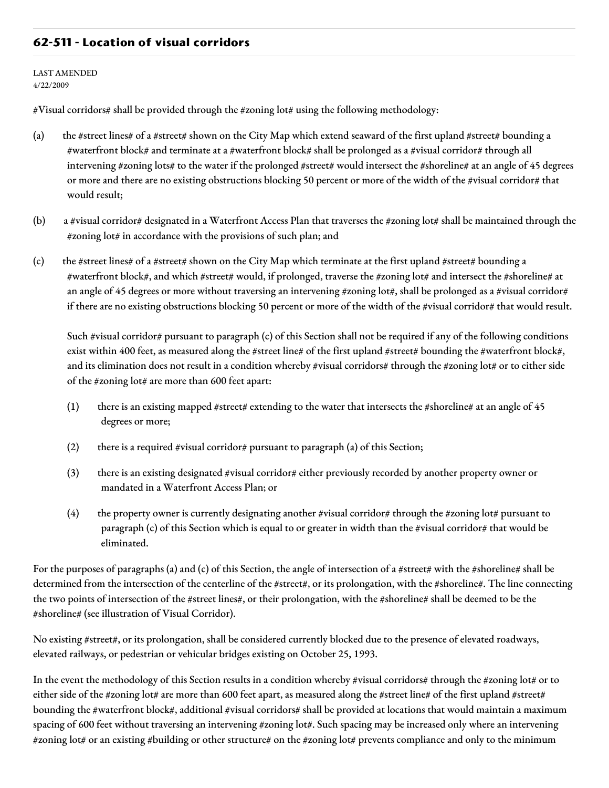#### **62-511 - Location of visual corridors**

LAST AMENDED 4/22/2009

#Visual corridors# shall be provided through the #zoning lot# using the following methodology:

- (a) the #street lines# of a #street# shown on the City Map which extend seaward of the first upland #street# bounding a #waterfront block# and terminate at a #waterfront block# shall be prolonged as a #visual corridor# through all intervening #zoning lots# to the water if the prolonged #street# would intersect the #shoreline# at an angle of 45 degrees or more and there are no existing obstructions blocking 50 percent or more of the width of the #visual corridor# that would result;
- (b) a #visual corridor# designated in a Waterfront Access Plan that traverses the #zoning lot# shall be maintained through the #zoning lot# in accordance with the provisions of such plan; and
- (c) the #street lines# of a #street# shown on the City Map which terminate at the first upland #street# bounding a #waterfront block#, and which #street# would, if prolonged, traverse the #zoning lot# and intersect the #shoreline# at an angle of 45 degrees or more without traversing an intervening #zoning lot#, shall be prolonged as a #visual corridor# if there are no existing obstructions blocking 50 percent or more of the width of the #visual corridor# that would result.

Such #visual corridor# pursuant to paragraph (c) of this Section shall not be required if any of the following conditions exist within 400 feet, as measured along the #street line# of the first upland #street# bounding the #waterfront block#, and its elimination does not result in a condition whereby #visual corridors# through the #zoning lot# or to either side of the #zoning lot# are more than 600 feet apart:

- (1) there is an existing mapped #street# extending to the water that intersects the #shoreline# at an angle of  $45$ degrees or more;
- (2) there is a required #visual corridor# pursuant to paragraph (a) of this Section;
- (3) there is an existing designated #visual corridor# either previously recorded by another property owner or mandated in a Waterfront Access Plan; or
- (4) the property owner is currently designating another #visual corridor# through the #zoning lot# pursuant to paragraph (c) of this Section which is equal to or greater in width than the #visual corridor# that would be eliminated.

For the purposes of paragraphs (a) and (c) of this Section, the angle of intersection of a #street# with the #shoreline# shall be determined from the intersection of the centerline of the #street#, or its prolongation, with the #shoreline#. The line connecting the two points of intersection of the #street lines#, or their prolongation, with the #shoreline# shall be deemed to be the #shoreline# (see illustration of Visual Corridor).

No existing #street#, or its prolongation, shall be considered currently blocked due to the presence of elevated roadways, elevated railways, or pedestrian or vehicular bridges existing on October 25, 1993.

In the event the methodology of this Section results in a condition whereby #visual corridors# through the #zoning lot# or to either side of the #zoning lot# are more than 600 feet apart, as measured along the #street line# of the first upland #street# bounding the #waterfront block#, additional #visual corridors# shall be provided at locations that would maintain a maximum spacing of 600 feet without traversing an intervening #zoning lot#. Such spacing may be increased only where an intervening #zoning lot# or an existing #building or other structure# on the #zoning lot# prevents compliance and only to the minimum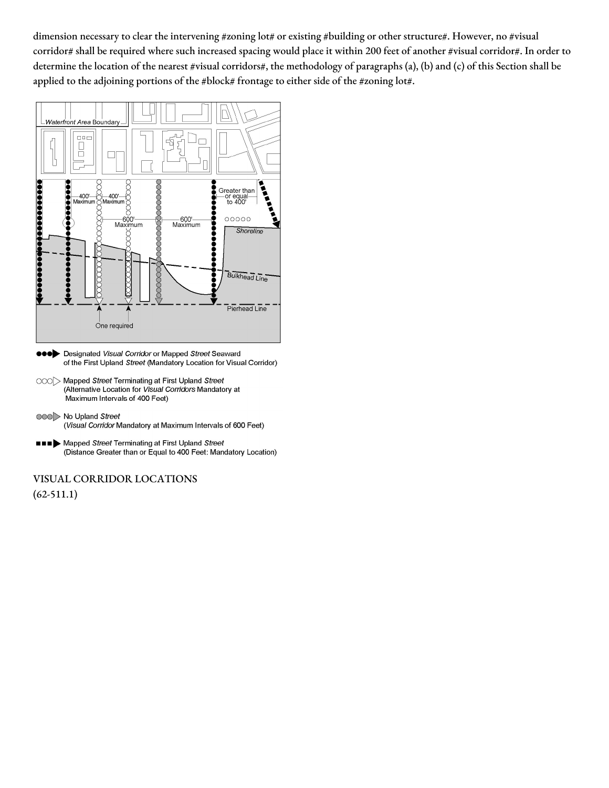dimension necessary to clear the intervening #zoning lot# or existing #building or other structure#. However, no #visual corridor# shall be required where such increased spacing would place it within 200 feet of another #visual corridor#. In order to determine the location of the nearest #visual corridors#, the methodology of paragraphs (a), (b) and (c) of this Section shall be applied to the adjoining portions of the #block# frontage to either side of the #zoning lot#.



- **eeo** Designated Visual Corridor or Mapped Street Seaward of the First Upland Street (Mandatory Location for Visual Corridor)
- OOO Mapped Street Terminating at First Upland Street (Alternative Location for Visual Corridors Mandatory at Maximum Intervals of 400 Feet)
- 000 No Upland Street (Visual Corridor Mandatory at Maximum Intervals of 600 Feet)
- **III** Mapped Street Terminating at First Upland Street (Distance Greater than or Equal to 400 Feet: Mandatory Location)

## VISUAL CORRIDOR LOCATIONS

(62-511.1)